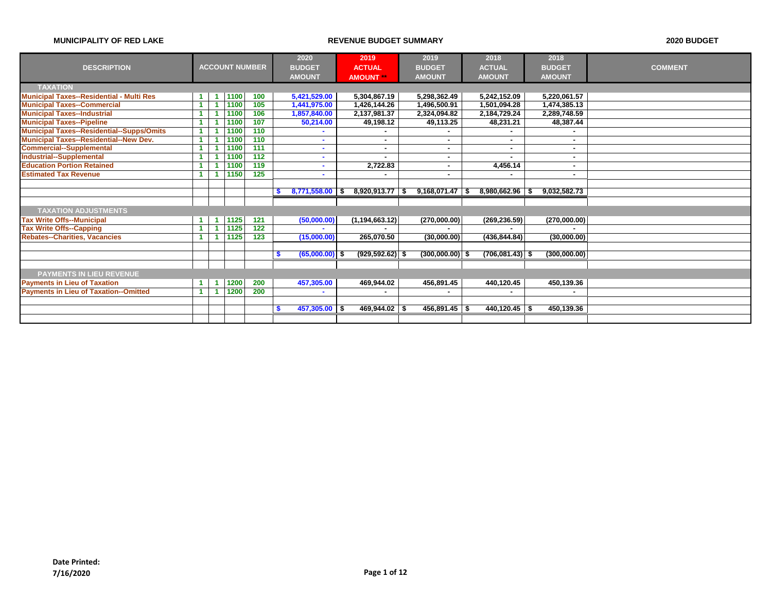|                                                  |  |                       |                  |   | 2020             | 2019                     |      | 2019                     | 2018              | 2018          |                |
|--------------------------------------------------|--|-----------------------|------------------|---|------------------|--------------------------|------|--------------------------|-------------------|---------------|----------------|
| <b>DESCRIPTION</b>                               |  | <b>ACCOUNT NUMBER</b> |                  |   | <b>BUDGET</b>    | <b>ACTUAL</b>            |      | <b>BUDGET</b>            | <b>ACTUAL</b>     | <b>BUDGET</b> | <b>COMMENT</b> |
|                                                  |  |                       |                  |   | <b>AMOUNT</b>    | <b>AMOUNT **</b>         |      | <b>AMOUNT</b>            | <b>AMOUNT</b>     | <b>AMOUNT</b> |                |
| <b>TAXATION</b>                                  |  |                       |                  |   |                  |                          |      |                          |                   |               |                |
| Municipal Taxes--Residential - Multi Res         |  | 1100                  | 100              |   | 5,421,529.00     | 5,304,867.19             |      | 5,298,362.49             | 5,242,152.09      | 5,220,061.57  |                |
| <b>Municipal Taxes--Commercial</b>               |  | 1100                  | 105              |   | 1,441,975.00     | 1,426,144.26             |      | 1,496,500.91             | 1,501,094.28      | 1,474,385.13  |                |
| <b>Municipal Taxes--Industrial</b>               |  | 1100                  | 106              |   | 1,857,840.00     | 2,137,981.37             |      | 2,324,094.82             | 2,184,729.24      | 2,289,748.59  |                |
| <b>Municipal Taxes--Pipeline</b>                 |  | 1100                  | 107              |   | 50.214.00        | 49,198.12                |      | 49,113.25                | 48,231.21         | 48,387.44     |                |
| <b>Municipal Taxes--Residential--Supps/Omits</b> |  | 1100                  | 110              |   |                  |                          |      |                          |                   |               |                |
| <b>Municipal Taxes--Residential--New Dev.</b>    |  | 1100                  | 110              |   |                  |                          |      |                          | ٠                 |               |                |
| <b>Commercial--Supplemental</b>                  |  | 1100                  | 111              |   | ۰                |                          |      |                          | ٠                 |               |                |
| <b>Industrial--Supplemental</b>                  |  | 1100                  | $\overline{112}$ |   | ۰                | $\overline{\phantom{a}}$ |      |                          | $\blacksquare$    |               |                |
| <b>Education Portion Retained</b>                |  | 1100                  | 119              |   | ٠                | 2,722.83                 |      | ۰.                       | 4,456.14          | н.            |                |
| <b>Estimated Tax Revenue</b>                     |  | 1150                  | 125              |   | ٠                |                          |      | $\overline{\phantom{a}}$ |                   | н.            |                |
|                                                  |  |                       |                  |   |                  |                          |      |                          |                   |               |                |
|                                                  |  |                       |                  |   | 8,771,558.00     | 8,920,913.77             | - \$ | 9,168,071.47             | 8,980,662.96      | 9.032.582.73  |                |
|                                                  |  |                       |                  |   |                  |                          |      |                          |                   |               |                |
| <b>TAXATION ADJUSTMENTS</b>                      |  |                       |                  |   |                  |                          |      |                          |                   |               |                |
| <b>Tax Write Offs--Municipal</b>                 |  | 1125                  | 121              |   | (50,000.00)      | (1, 194, 663.12)         |      | (270,000.00)             | (269, 236.59)     | (270,000.00)  |                |
| <b>Tax Write Offs--Capping</b>                   |  | 1125                  | 122              |   |                  |                          |      |                          |                   |               |                |
| <b>Rebates--Charities, Vacancies</b>             |  | 1125                  | 123              |   | (15,000.00)      | 265,070.50               |      | (30,000.00)              | (436, 844.84)     | (30,000.00)   |                |
|                                                  |  |                       |                  |   |                  |                          |      |                          |                   |               |                |
|                                                  |  |                       |                  |   | $(65,000.00)$ \$ | $(929.592.62)$ \$        |      | $(300,000.00)$ \$        | $(706,081.43)$ \$ | (300,000.00)  |                |
|                                                  |  |                       |                  |   |                  |                          |      |                          |                   |               |                |
| <b>PAYMENTS IN LIEU REVENUE</b>                  |  |                       |                  |   |                  |                          |      |                          |                   |               |                |
| <b>Payments in Lieu of Taxation</b>              |  | 1200                  | 200              |   | 457,305.00       | 469,944.02               |      | 456,891.45               | 440,120.45        | 450,139.36    |                |
| <b>Payments in Lieu of Taxation--Omitted</b>     |  | 1200                  | 200              |   | ۰                |                          |      |                          |                   |               |                |
|                                                  |  |                       |                  |   |                  |                          |      |                          |                   |               |                |
|                                                  |  |                       |                  | S | $457,305.00$ \$  | $469,944.02$ \\$         |      | $456,891.45$ \\$         | $440, 120.45$ \$  | 450,139.36    |                |
|                                                  |  |                       |                  |   |                  |                          |      |                          |                   |               |                |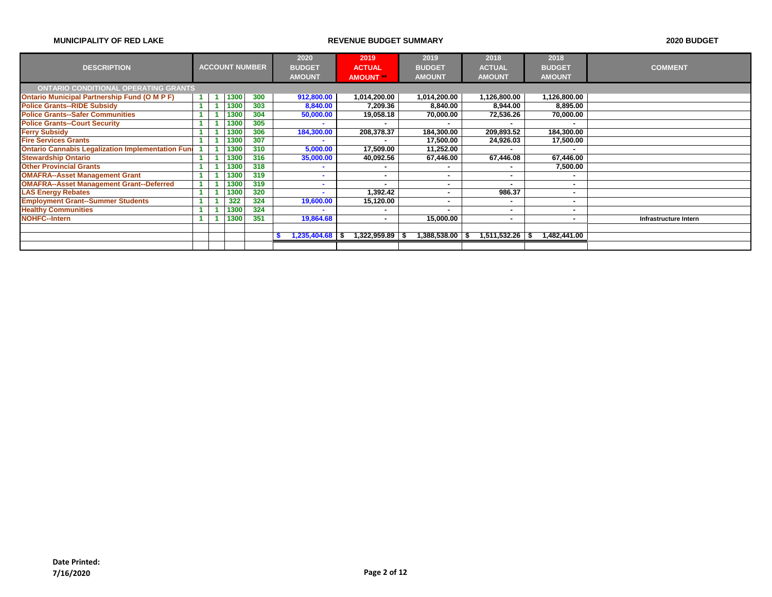|                                                          |  |      |                       | 2020              | 2019          | 2019                    | 2018          | 2018          |                       |
|----------------------------------------------------------|--|------|-----------------------|-------------------|---------------|-------------------------|---------------|---------------|-----------------------|
| <b>DESCRIPTION</b>                                       |  |      | <b>ACCOUNT NUMBER</b> | <b>BUDGET</b>     | <b>ACTUAL</b> | <b>BUDGET</b>           | <b>ACTUAL</b> | <b>BUDGET</b> | <b>COMMENT</b>        |
|                                                          |  |      |                       | <b>AMOUNT</b>     | <b>AMOUNT</b> | <b>AMOUNT</b>           | <b>AMOUNT</b> | <b>AMOUNT</b> |                       |
| <b>ONTARIO CONDITIONAL OPERATING GRANTS</b>              |  |      |                       |                   |               |                         |               |               |                       |
| <b>Ontario Municipal Partnership Fund (O M P F)</b>      |  | 1300 | 300                   | 912,800.00        | 1,014,200.00  | 1,014,200.00            | 1,126,800.00  | 1,126,800.00  |                       |
| <b>Police Grants--RIDE Subsidy</b>                       |  | 1300 | 303                   | 8,840.00          | 7,209.36      | 8,840.00                | 8,944.00      | 8,895.00      |                       |
| <b>Police Grants--Safer Communities</b>                  |  | 1300 | 304                   | 50,000.00         | 19,058.18     | 70,000.00               | 72,536.26     | 70,000.00     |                       |
| <b>Police Grants--Court Security</b>                     |  | 1300 | 305                   | -                 |               |                         |               |               |                       |
| <b>Ferry Subsidy</b>                                     |  | 1300 | 306                   | 184,300.00        | 208,378.37    | 184,300.00              | 209,893.52    | 184,300.00    |                       |
| <b>Fire Services Grants</b>                              |  | 1300 | 307                   |                   |               | 17,500.00               | 24,926.03     | 17,500.00     |                       |
| <b>Ontario Cannabis Legalization Implementation Fund</b> |  | 1300 | 310                   | 5,000.00          | 17.509.00     | 11,252.00               |               |               |                       |
| <b>Stewardship Ontario</b>                               |  | 1300 | 316                   | 35,000.00         | 40,092.56     | 67,446.00               | 67,446.08     | 67,446.00     |                       |
| <b>Other Provincial Grants</b>                           |  | 1300 | 318                   | ۰                 |               |                         |               | 7,500.00      |                       |
| <b>OMAFRA--Asset Management Grant</b>                    |  | 1300 | 319                   | ۰                 |               |                         | ۰.            |               |                       |
| <b>OMAFRA--Asset Management Grant--Deferred</b>          |  | 1300 | 319                   | ۰                 |               |                         |               |               |                       |
| <b>LAS Energy Rebates</b>                                |  | 1300 | 320                   |                   | 1,392.42      | ۰                       | 986.37        |               |                       |
| <b>Employment Grant--Summer Students</b>                 |  | 322  | 324                   | 19,600.00         | 15,120.00     | ۰                       | ۰             |               |                       |
| <b>Healthy Communities</b>                               |  | 1300 | 324                   |                   |               |                         |               |               |                       |
| <b>NOHFC--Intern</b>                                     |  | 1300 | 351                   | 19,864.68         |               | 15,000.00               |               |               | Infrastructure Intern |
|                                                          |  |      |                       |                   |               |                         |               |               |                       |
|                                                          |  |      |                       | $1,235,404.68$ \$ | 1,322,959.89  | 1,388,538.00 \$<br>- \$ | 1,511,532.26  | 1,482,441.00  |                       |
|                                                          |  |      |                       |                   |               |                         |               |               |                       |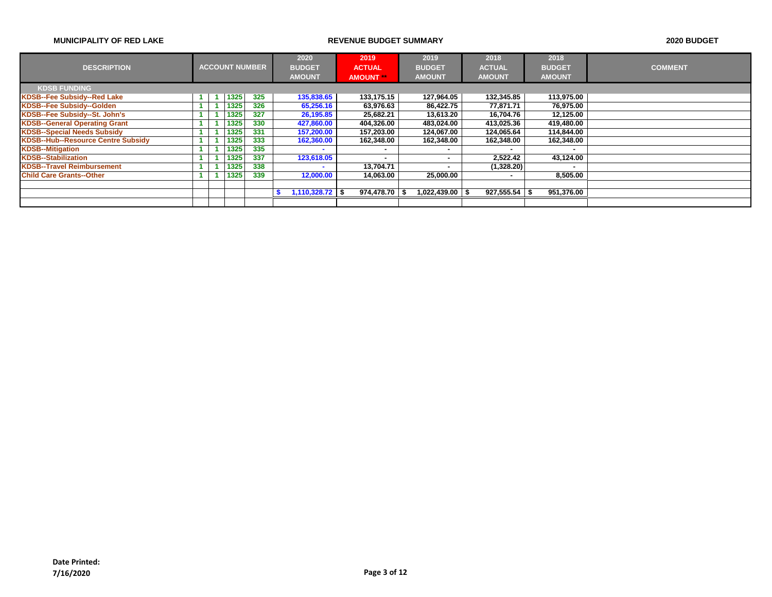|                                           |  |      |                       | 2020              | 2019             | 2019                | 2018            | 2018          |                |
|-------------------------------------------|--|------|-----------------------|-------------------|------------------|---------------------|-----------------|---------------|----------------|
| <b>DESCRIPTION</b>                        |  |      | <b>ACCOUNT NUMBER</b> | <b>BUDGET</b>     | <b>ACTUAL</b>    | <b>BUDGET</b>       | <b>ACTUAL</b>   | <b>BUDGET</b> | <b>COMMENT</b> |
|                                           |  |      |                       | <b>AMOUNT</b>     | <b>AMOUNT</b>    | <b>AMOUNT</b>       | <b>AMOUNT</b>   | <b>AMOUNT</b> |                |
| <b>KDSB FUNDING</b>                       |  |      |                       |                   |                  |                     |                 |               |                |
| <b>KDSB--Fee Subsidy--Red Lake</b>        |  | 1325 | 325                   | 135,838.65        | 133,175.15       | 127,964.05          | 132,345.85      | 113,975.00    |                |
| KDSB--Fee Subsidy--Golden                 |  | 1325 | 326                   | 65,256.16         | 63,976.63        | 86,422.75           | 77.871.71       | 76,975.00     |                |
| KDSB--Fee Subsidy--St. John's             |  | 1325 | 327                   | 26,195.85         | 25,682.21        | 13,613.20           | 16,704.76       | 12,125.00     |                |
| <b>KDSB--General Operating Grant</b>      |  | 1325 | 330                   | 427,860.00        | 404,326.00       | 483,024.00          | 413,025.36      | 419,480.00    |                |
| <b>KDSB--Special Needs Subsidy</b>        |  | 1325 | 331                   | 157,200.00        | 157.203.00       | 124,067.00          | 124.065.64      | 114,844.00    |                |
| <b>KDSB--Hub--Resource Centre Subsidy</b> |  | 1325 | 333                   | 162,360.00        | 162,348.00       | 162,348.00          | 162,348.00      | 162,348.00    |                |
| <b>KDSB--Mitigation</b>                   |  | 1325 | 335                   |                   |                  |                     |                 |               |                |
| <b>KDSB--Stabilization</b>                |  | 1325 | 337                   | 123,618.05        |                  |                     | 2,522.42        | 43,124.00     |                |
| <b>KDSB--Travel Reimbursement</b>         |  | 1325 | 338                   |                   | 13,704.71        |                     | (1,328.20)      |               |                |
| <b>Child Care Grants--Other</b>           |  | 1325 | 339                   | 12,000.00         | 14.063.00        | 25,000.00           | ۰               | 8,505.00      |                |
|                                           |  |      |                       |                   |                  |                     |                 |               |                |
|                                           |  |      |                       | $1,110,328.72$ \$ | $974,478.70$ \\$ | $1,022,439.00$ \ \$ | $927,555.54$ \$ | 951,376.00    |                |
|                                           |  |      |                       |                   |                  |                     |                 |               |                |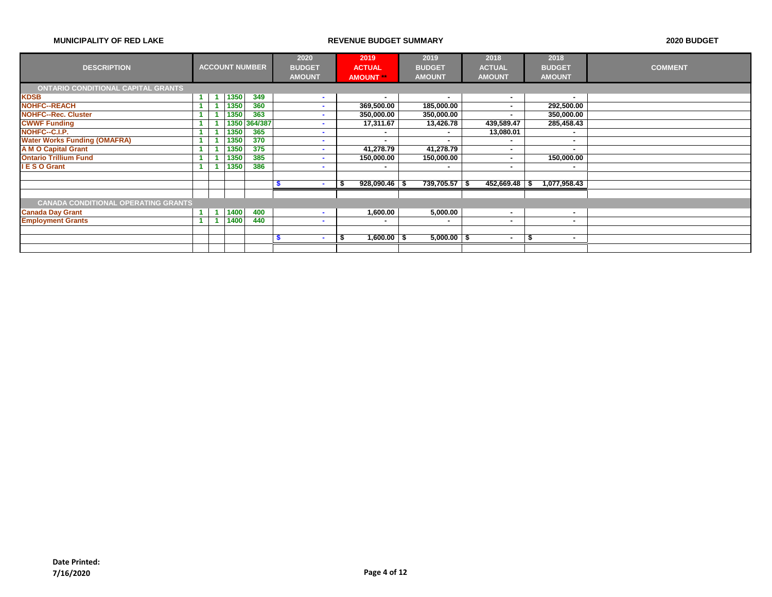|                                            |                      |      |                       | 2020          | 2019                     | 2019            | 2018                     | 2018                 |                |
|--------------------------------------------|----------------------|------|-----------------------|---------------|--------------------------|-----------------|--------------------------|----------------------|----------------|
| <b>DESCRIPTION</b>                         |                      |      | <b>ACCOUNT NUMBER</b> | <b>BUDGET</b> | <b>ACTUAL</b>            | <b>BUDGET</b>   | <b>ACTUAL</b>            | <b>BUDGET</b>        | <b>COMMENT</b> |
|                                            |                      |      |                       | <b>AMOUNT</b> | <b>AMOUNT</b>            | <b>AMOUNT</b>   | <b>AMOUNT</b>            | <b>AMOUNT</b>        |                |
| <b>ONTARIO CONDITIONAL CAPITAL GRANTS</b>  |                      |      |                       |               |                          |                 |                          |                      |                |
| <b>KDSB</b>                                | $\blacktriangleleft$ | 1350 | 349                   | $\mathbf{r}$  | $\overline{\phantom{a}}$ | ۰.              |                          |                      |                |
| <b>NOHFC--REACH</b>                        |                      | 1350 | 360                   | <b>COL</b>    | 369,500.00               | 185,000.00      |                          | 292,500.00           |                |
| <b>NOHFC--Rec. Cluster</b>                 |                      | 1350 | 363                   | $\sim$        | 350,000.00               | 350,000.00      |                          | 350,000.00           |                |
| <b>CWWF Funding</b>                        |                      |      | 1350 364/387          |               | 17,311.67                | 13,426.78       | 439,589.47               | 285,458.43           |                |
| NOHFC--C.I.P.                              |                      | 1350 | 365                   |               |                          |                 | 13,080.01                |                      |                |
| <b>Water Works Funding (OMAFRA)</b>        |                      | 1350 | 370                   |               | ۰                        | ۰.              |                          |                      |                |
| <b>A M O Capital Grant</b>                 |                      | 1350 | 375                   |               | 41,278.79                | 41,278.79       |                          |                      |                |
| <b>Ontario Trillium Fund</b>               |                      | 1350 | 385                   | . .           | 150,000.00               | 150,000.00      | $\overline{\phantom{a}}$ | 150,000.00           |                |
| <b>IESO Grant</b>                          |                      | 1350 | 386                   |               | ۰                        | ۰               | $\overline{\phantom{a}}$ | ۰                    |                |
|                                            |                      |      |                       |               |                          |                 |                          |                      |                |
|                                            |                      |      |                       |               | $928,090.46$ \$          | 739,705.57 \$   | 452,669.48               | 1,077,958.43<br>- 56 |                |
|                                            |                      |      |                       |               |                          |                 |                          |                      |                |
| <b>CANADA CONDITIONAL OPERATING GRANTS</b> |                      |      |                       |               |                          |                 |                          |                      |                |
| <b>Canada Day Grant</b>                    |                      | 1400 | 400                   |               | 1,600.00                 | 5,000.00        | ۰                        | ٠                    |                |
| <b>Employment Grants</b>                   |                      | 1400 | 440                   | $\mathbf{r}$  | ۰                        |                 |                          |                      |                |
|                                            |                      |      |                       |               |                          |                 |                          |                      |                |
|                                            |                      |      |                       |               | $1,600.00$ \$            | $5,000.00$ \ \$ | $\overline{\phantom{a}}$ | - 3<br>٠             |                |
|                                            |                      |      |                       |               |                          |                 |                          |                      |                |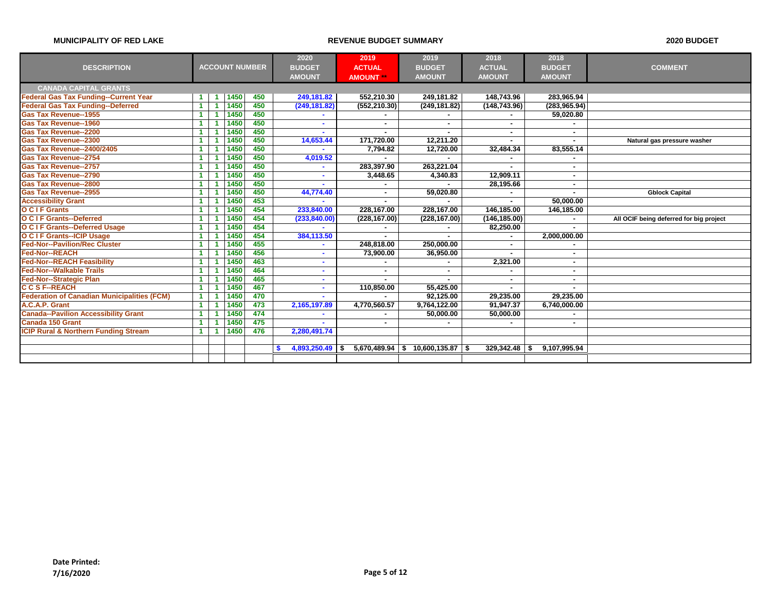|                                                    |                      |                      |      |                       | 2020          | 2019          | 2019                                   | 2018                     | 2018          |                                         |
|----------------------------------------------------|----------------------|----------------------|------|-----------------------|---------------|---------------|----------------------------------------|--------------------------|---------------|-----------------------------------------|
| <b>DESCRIPTION</b>                                 |                      |                      |      | <b>ACCOUNT NUMBER</b> | <b>BUDGET</b> | <b>ACTUAL</b> | <b>BUDGET</b>                          | <b>ACTUAL</b>            | <b>BUDGET</b> | <b>COMMENT</b>                          |
|                                                    |                      |                      |      |                       | <b>AMOUNT</b> | <b>AMOUNT</b> | <b>AMOUNT</b>                          | <b>AMOUNT</b>            | <b>AMOUNT</b> |                                         |
| <b>CANADA CAPITAL GRANTS</b>                       |                      |                      |      |                       |               |               |                                        |                          |               |                                         |
| <b>Federal Gas Tax Funding--Current Year</b>       |                      | -1                   | 1450 | 450                   | 249,181.82    | 552,210.30    | 249,181.82                             | 148,743.96               | 283,965.94    |                                         |
| <b>Federal Gas Tax Funding--Deferred</b>           | 1 <sup>1</sup>       | $\blacktriangleleft$ | 1450 | 450                   | (249, 181.82) | (552, 210.30) | (249, 181.82)                          | (148, 743.96)            | (283, 965.94) |                                         |
| <b>Gas Tax Revenue--1955</b>                       | 1.                   | -1                   | 1450 | 450                   |               |               |                                        |                          | 59,020.80     |                                         |
| <b>Gas Tax Revenue--1960</b>                       |                      |                      | 1450 | 450                   |               |               |                                        |                          |               |                                         |
| <b>Gas Tax Revenue--2200</b>                       |                      |                      | 1450 | 450                   |               |               |                                        | ٠                        |               |                                         |
| <b>Gas Tax Revenue--2300</b>                       |                      |                      | 1450 | 450                   | 14,653.44     | 171,720.00    | 12,211.20                              |                          |               | Natural gas pressure washer             |
| <b>Gas Tax Revenue--2400/2405</b>                  |                      | -1                   | 1450 | 450                   |               | 7,794.82      | 12,720.00                              | 32,484.34                | 83,555.14     |                                         |
| <b>Gas Tax Revenue--2754</b>                       |                      |                      | 1450 | 450                   | 4,019.52      |               |                                        |                          |               |                                         |
| <b>Gas Tax Revenue--2757</b>                       |                      |                      | 1450 | 450                   |               | 283,397.90    | 263.221.04                             | $\blacksquare$           |               |                                         |
| <b>Gas Tax Revenue--2790</b>                       | $\blacksquare$       | -1                   | 1450 | 450                   |               | 3,448.65      | 4,340.83                               | 12,909.11                |               |                                         |
| <b>Gas Tax Revenue--2800</b>                       | $\blacktriangleleft$ |                      | 1450 | 450                   |               |               |                                        | 28,195.66                |               |                                         |
| <b>Gas Tax Revenue--2955</b>                       | 1 <sup>1</sup>       | -1                   | 1450 | 450                   | 44,774.40     | ٠             | 59,020.80                              |                          |               | <b>Gblock Capital</b>                   |
| <b>Accessibility Grant</b>                         | 1 <sup>1</sup>       | $\blacktriangleleft$ | 1450 | 453                   |               |               |                                        |                          | 50,000.00     |                                         |
| O C I F Grants                                     | 1                    |                      | 1450 | 454                   | 233,840.00    | 228,167.00    | 228,167.00                             | 146,185.00               | 146,185.00    |                                         |
| O C I F Grants--Deferred                           | 1.                   |                      | 1450 | 454                   | (233, 840.00) | (228, 167.00) | (228, 167.00)                          | (146, 185.00)            |               | All OCIF being deferred for big project |
| <b>O C I F Grants--Deferred Usage</b>              | 1.                   | -1                   | 1450 | 454                   |               |               |                                        | 82,250.00                |               |                                         |
| O C I F Grants--ICIP Usage                         | 1.                   | -1                   | 1450 | 454                   | 384,113.50    |               |                                        |                          | 2,000,000.00  |                                         |
| <b>Fed-Nor--Pavilion/Rec Cluster</b>               |                      | -4                   | 1450 | 455                   |               | 248,818.00    | 250,000.00                             | $\blacksquare$           |               |                                         |
| <b>Fed-Nor--REACH</b>                              |                      | -1                   | 1450 | 456                   |               | 73,900.00     | 36,950.00                              |                          |               |                                         |
| <b>Fed-Nor--REACH Feasibility</b>                  | 1.                   | -4                   | 1450 | 463                   |               |               |                                        | 2,321.00                 |               |                                         |
| <b>Fed-Nor--Walkable Trails</b>                    | 1.                   | -1                   | 1450 | 464                   |               |               |                                        |                          |               |                                         |
| <b>Fed-Nor--Strategic Plan</b>                     | 1.                   |                      | 1450 | 465                   |               | ٠             |                                        | $\overline{\phantom{a}}$ |               |                                         |
| <b>CCSF--REACH</b>                                 | 1.                   | $\blacktriangleleft$ | 1450 | 467                   | $\sim$        | 110,850.00    | 55,425.00                              |                          |               |                                         |
| <b>Federation of Canadian Municipalities (FCM)</b> | 1 <sup>1</sup>       | -1                   | 1450 | 470                   |               |               | 92,125.00                              | 29,235.00                | 29,235.00     |                                         |
| A.C.A.P. Grant                                     | 1.                   | -1                   | 1450 | 473                   | 2,165,197.89  | 4,770,560.57  | 9,764,122.00                           | 91,947.37                | 6,740,000.00  |                                         |
| <b>Canada--Pavilion Accessibility Grant</b>        | -1                   | -1                   | 1450 | 474                   |               |               | 50,000.00                              | 50.000.00                |               |                                         |
| <b>Canada 150 Grant</b>                            | 1.                   | -1                   | 1450 | 475                   |               |               |                                        |                          |               |                                         |
| <b>ICIP Rural &amp; Northern Funding Stream</b>    | $\blacksquare$       | $\blacktriangleleft$ | 1450 | 476                   | 2,280,491.74  |               |                                        |                          |               |                                         |
|                                                    |                      |                      |      |                       |               |               |                                        |                          |               |                                         |
|                                                    |                      |                      |      |                       | 4,893,250.49  |               | $5,670,489.94$   \$ 10,600,135.87   \$ | 329,342.48               | 9,107,995.94  |                                         |
|                                                    |                      |                      |      |                       |               |               |                                        |                          |               |                                         |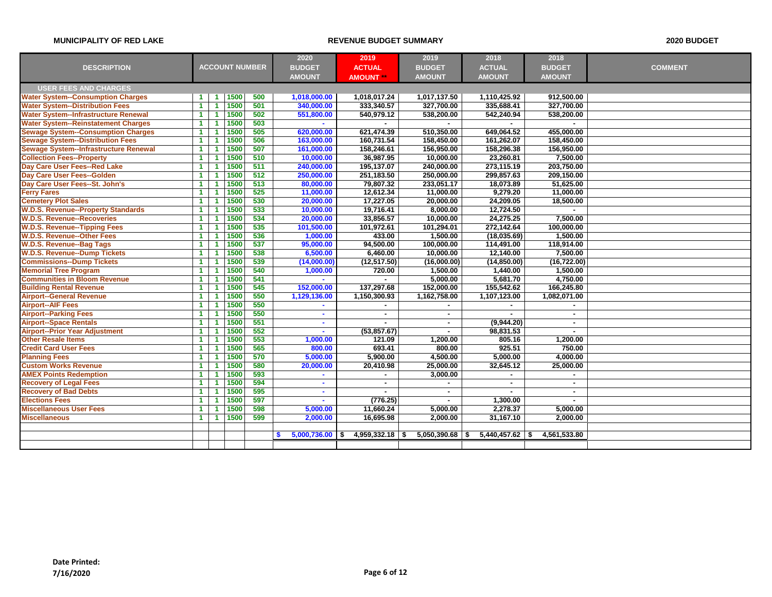|                                              |                      |                      |      |                       | 2020          | 2019                    | 2019          | 2018              | 2018          |                |
|----------------------------------------------|----------------------|----------------------|------|-----------------------|---------------|-------------------------|---------------|-------------------|---------------|----------------|
| <b>DESCRIPTION</b>                           |                      |                      |      | <b>ACCOUNT NUMBER</b> | <b>BUDGET</b> | <b>ACTUAL</b>           | <b>BUDGET</b> | <b>ACTUAL</b>     | <b>BUDGET</b> | <b>COMMENT</b> |
|                                              |                      |                      |      |                       | <b>AMOUNT</b> | <b>AMOUNT</b>           | <b>AMOUNT</b> | <b>AMOUNT</b>     | <b>AMOUNT</b> |                |
| <b>USER FEES AND CHARGES</b>                 |                      |                      |      |                       |               |                         |               |                   |               |                |
| <b>Water System--Consumption Charges</b>     | -1                   | -1                   | 1500 | 500                   | 1,018,000.00  | 1,018,017.24            | 1,017,137.50  | 1,110,425.92      | 912,500.00    |                |
| <b>Water System--Distribution Fees</b>       | $\blacktriangleleft$ | $\blacktriangleleft$ | 1500 | 501                   | 340,000.00    | 333,340.57              | 327,700.00    | 335,688.41        | 327,700.00    |                |
| <b>Water System--Infrastructure Renewal</b>  | $\blacktriangleleft$ | -1                   | 1500 | 502                   | 551,800.00    | 540,979.12              | 538,200.00    | 542,240.94        | 538,200.00    |                |
| <b>Water System--Reinstatement Charges</b>   | $\blacktriangleleft$ | 1                    | 1500 | 503                   |               |                         |               |                   |               |                |
| <b>Sewage System--Consumption Charges</b>    | $\blacktriangleleft$ | -1                   | 1500 | 505                   | 620.000.00    | 621,474.39              | 510,350.00    | 649,064.52        | 455.000.00    |                |
| <b>Sewage System--Distribution Fees</b>      | $\blacktriangleleft$ | -1                   | 1500 | 506                   | 163,000.00    | 160,731.54              | 158,450.00    | 161,262.07        | 158,450.00    |                |
| <b>Sewage System--Infrastructure Renewal</b> | $\blacktriangleleft$ | $\blacktriangleleft$ | 1500 | 507                   | 161,000.00    | 158,246.61              | 156,950.00    | 158,296.38        | 156,950.00    |                |
| <b>Collection Fees--Property</b>             | $\blacktriangleleft$ | 1                    | 1500 | 510                   | 10,000.00     | 36,987.95               | 10,000.00     | 23,260.81         | 7,500.00      |                |
| Day Care User Fees--Red Lake                 | -1                   | 1                    | 1500 | 511                   | 240,000,00    | 195,137.07              | 240,000,00    | 273.115.19        | 203.750.00    |                |
| Day Care User Fees--Golden                   | $\blacktriangleleft$ | $\blacktriangleleft$ | 1500 | 512                   | 250,000.00    | 251,183.50              | 250,000.00    | 299,857.63        | 209,150.00    |                |
| Day Care User Fees--St. John's               | $\blacktriangleleft$ | $\blacktriangleleft$ | 1500 | 513                   | 80,000.00     | 79,807.32               | 233,051.17    | 18,073.89         | 51,625.00     |                |
| <b>Ferry Fares</b>                           | $\blacktriangleleft$ | -1                   | 1500 | 525                   | 11,000.00     | 12,612.34               | 11,000.00     | 9,279.20          | 11,000.00     |                |
| <b>Cemetery Plot Sales</b>                   | $\mathbf{1}$         | $\blacktriangleleft$ | 1500 | 530                   | 20,000.00     | 17,227.05               | 20,000.00     | 24,209.05         | 18,500.00     |                |
| <b>W.D.S. Revenue--Property Standards</b>    | $\blacktriangleleft$ | -1                   | 1500 | 533                   | 10,000.00     | 19,716.41               | 8,000.00      | 12,724.50         |               |                |
| <b>W.D.S. Revenue--Recoveries</b>            | $\blacktriangleleft$ | 1                    | 1500 | 534                   | 20,000.00     | 33,856.57               | 10,000.00     | 24,275.25         | 7,500.00      |                |
| <b>W.D.S. Revenue--Tipping Fees</b>          | $\blacktriangleleft$ | -1                   | 1500 | 535                   | 101,500.00    | 101,972.61              | 101,294.01    | 272,142.64        | 100,000.00    |                |
| <b>W.D.S. Revenue--Other Fees</b>            | $\blacktriangleleft$ | $\blacktriangleleft$ | 1500 | 536                   | 1,000.00      | 433.00                  | 1,500.00      | (18,035.69)       | 1,500.00      |                |
| <b>W.D.S. Revenue--Bag Tags</b>              | $\blacktriangleleft$ | $\blacktriangleleft$ | 1500 | 537                   | 95,000.00     | 94,500.00               | 100,000.00    | 114,491.00        | 118,914.00    |                |
| <b>W.D.S. Revenue--Dump Tickets</b>          | 1                    | -1                   | 1500 | 538                   | 6,500.00      | 6,460.00                | 10,000.00     | 12,140.00         | 7,500.00      |                |
| <b>Commissions--Dump Tickets</b>             | $\overline{1}$       | -1                   | 1500 | 539                   | (14,000.00)   | (12, 517.50)            | (16,000.00)   | (14, 850.00)      | (16, 722.00)  |                |
| <b>Memorial Tree Program</b>                 | $\blacktriangleleft$ | $\blacktriangleleft$ | 1500 | 540                   | 1,000.00      | 720.00                  | 1,500.00      | 1,440.00          | 1,500.00      |                |
| <b>Communities in Bloom Revenue</b>          | $\blacktriangleleft$ | -1                   | 1500 | 541                   | ÷.            |                         | 5,000.00      | 5,681.70          | 4,750.00      |                |
| <b>Building Rental Revenue</b>               | $\blacktriangleleft$ | 1                    | 1500 | 545                   | 152,000.00    | 137,297.68              | 152,000.00    | 155,542.62        | 166,245.80    |                |
| <b>Airport--General Revenue</b>              | $\blacktriangleleft$ | -1                   | 1500 | 550                   | 1,129,136.00  | 1,150,300.93            | 1,162,758.00  | 1,107,123.00      | 1,082,071.00  |                |
| <b>Airport--AIF Fees</b>                     | $\blacktriangleleft$ | $\blacktriangleleft$ | 1500 | 550                   | $\sim$        | $\sim$                  | $\sim$        | $\blacksquare$    | $\mathbf{r}$  |                |
| <b>Airport--Parking Fees</b>                 | $\blacktriangleleft$ | $\blacktriangleleft$ | 1500 | 550                   | $\sim$        | $\blacksquare$          | $\sim$        |                   | $\sim$        |                |
| <b>Airport--Space Rentals</b>                | $\blacktriangleleft$ | -1                   | 1500 | 551                   | $\mathbf{r}$  |                         | $\sim$        | (9,944.20)        | $\sim$        |                |
| <b>Airport--Prior Year Adjustment</b>        | $\blacktriangleleft$ | $\blacktriangleleft$ | 1500 | 552                   | $\sim$        | (53,857.67)             | $\sim$        | 98.831.53         | $\sim$        |                |
| <b>Other Resale Items</b>                    | $\blacktriangleleft$ | $\blacktriangleleft$ | 1500 | 553                   | 1,000.00      | 121.09                  | 1,200.00      | 805.16            | 1,200.00      |                |
| <b>Credit Card User Fees</b>                 | $\blacktriangleleft$ | -1                   | 1500 | 565                   | 800.00        | 693.41                  | 800.00        | 925.51            | 750.00        |                |
| <b>Planning Fees</b>                         | $\blacktriangleleft$ | -1                   | 1500 | 570                   | 5,000.00      | 5,900.00                | 4,500.00      | 5,000.00          | 4,000.00      |                |
| <b>Custom Works Revenue</b>                  | $\blacktriangleleft$ | $\blacktriangleleft$ | 1500 | 580                   | 20,000.00     | 20,410.98               | 25,000.00     | 32,645.12         | 25,000.00     |                |
| <b>AMEX Points Redemption</b>                | $\blacktriangleleft$ | $\blacktriangleleft$ | 1500 | 593                   | $\mathbf{r}$  |                         | 3,000.00      |                   |               |                |
| <b>Recovery of Legal Fees</b>                | $\blacktriangleleft$ | 1                    | 1500 | 594                   | $\sim$        | $\sim$                  |               | $\blacksquare$    | $\sim$        |                |
| <b>Recovery of Bad Debts</b>                 | $\blacktriangleleft$ | -1                   | 1500 | 595                   | $\sim$        |                         | $\sim$        |                   | $\sim$        |                |
| <b>Elections Fees</b>                        | $\blacktriangleleft$ | $\blacktriangleleft$ | 1500 | 597                   | ÷.            | (776.25)                | $\sim$        | 1,300.00          | $\sim$        |                |
| <b>Miscellaneous User Fees</b>               | $\blacktriangleleft$ | -1                   | 1500 | 598                   | 5,000.00      | 11,660.24               | 5,000.00      | 2,278.37          | 5,000.00      |                |
| <b>Miscellaneous</b>                         | $\blacktriangleleft$ | $\blacktriangleleft$ | 1500 | 599                   | 2,000.00      | 16,695.98               | 2,000.00      | 31,167.10         | 2,000.00      |                |
|                                              |                      |                      |      |                       |               |                         |               |                   |               |                |
|                                              |                      |                      |      |                       | 5,000,736.00  | $4,959,332.18$ \$<br>\$ | 5,050,390.68  | $5,440,457.62$ \$ | 4,561,533.80  |                |
|                                              |                      |                      |      |                       |               |                         |               |                   |               |                |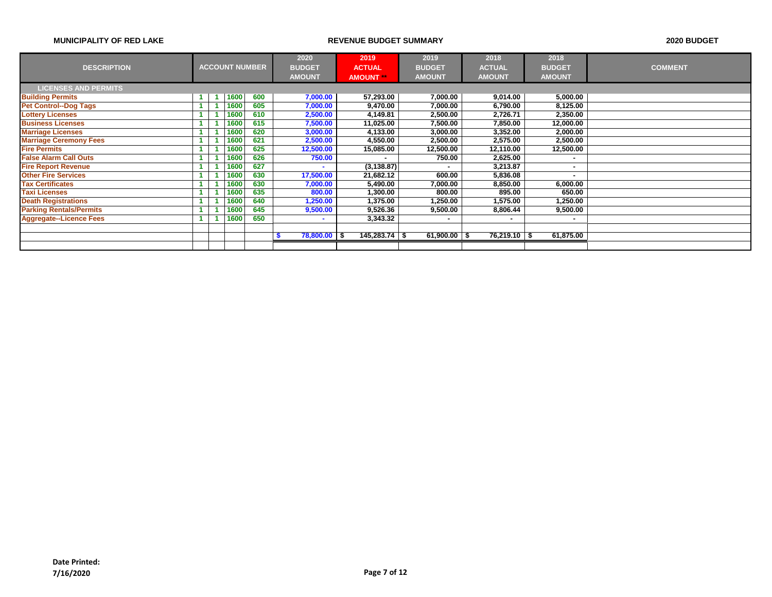|                                |      |                       | 2020            | 2019            | 2019            | 2018          |              | 2018          |                |
|--------------------------------|------|-----------------------|-----------------|-----------------|-----------------|---------------|--------------|---------------|----------------|
| <b>DESCRIPTION</b>             |      | <b>ACCOUNT NUMBER</b> | <b>BUDGET</b>   | <b>ACTUAL</b>   | <b>BUDGET</b>   | <b>ACTUAL</b> |              | <b>BUDGET</b> | <b>COMMENT</b> |
|                                |      |                       | <b>AMOUNT</b>   | <b>AMOUNT</b>   | <b>AMOUNT</b>   | <b>AMOUNT</b> |              | <b>AMOUNT</b> |                |
| <b>LICENSES AND PERMITS</b>    |      |                       |                 |                 |                 |               |              |               |                |
| <b>Building Permits</b>        | 1600 | 600                   | 7,000.00        | 57,293.00       | 7,000.00        |               | 9.014.00     | 5,000.00      |                |
| <b>Pet Control--Dog Tags</b>   | 1600 | 605                   | 7,000.00        | 9,470.00        | 7,000.00        |               | 6,790.00     | 8,125.00      |                |
| <b>Lottery Licenses</b>        | 1600 | 610                   | 2,500.00        | 4,149.81        | 2,500.00        |               | 2,726.71     | 2,350.00      |                |
| <b>Business Licenses</b>       | 1600 | 615                   | 7,500.00        | 11,025.00       | 7,500.00        |               | 7,850.00     | 12,000.00     |                |
| <b>Marriage Licenses</b>       | 1600 | 620                   | 3,000.00        | 4,133.00        | 3,000.00        |               | 3,352.00     | 2,000.00      |                |
| <b>Marriage Ceremony Fees</b>  | 1600 | 621                   | 2,500.00        | 4,550.00        | 2,500.00        |               | 2,575.00     | 2,500.00      |                |
| <b>Fire Permits</b>            | 1600 | 625                   | 12,500.00       | 15,085.00       | 12,500.00       |               | 12,110.00    | 12,500.00     |                |
| <b>False Alarm Call Outs</b>   | 1600 | 626                   | 750.00          |                 | 750.00          |               | 2,625.00     |               |                |
| <b>Fire Report Revenue</b>     | 1600 | 627                   | ۰               | (3, 138.87)     |                 |               | 3,213.87     |               |                |
| <b>Other Fire Services</b>     | 1600 | 630                   | 17,500.00       | 21,682.12       | 600.00          |               | 5,836.08     |               |                |
| <b>Tax Certificates</b>        | 1600 | 630                   | 7,000.00        | 5,490.00        | 7,000.00        |               | 8,850.00     | 6,000.00      |                |
| <b>Taxi Licenses</b>           | 1600 | 635                   | 800.00          | 1,300.00        | 800.00          |               | 895.00       | 650.00        |                |
| <b>Death Registrations</b>     | 1600 | 640                   | 1,250.00        | 1,375.00        | 1,250.00        |               | 1,575.00     | 1,250.00      |                |
| <b>Parking Rentals/Permits</b> | 1600 | 645                   | 9,500.00        | 9,526.36        | 9,500.00        |               | 8,806.44     | 9,500.00      |                |
| <b>Aggregate--Licence Fees</b> | 1600 | 650                   |                 | 3,343.32        |                 |               | ۰            |               |                |
|                                |      |                       |                 |                 |                 |               |              |               |                |
|                                |      |                       | $78,800.00$ \\$ | $145,283.74$ \$ | $61,900.00$ \\$ |               | 76,219.10 \$ | 61,875.00     |                |
|                                |      |                       |                 |                 |                 |               |              |               |                |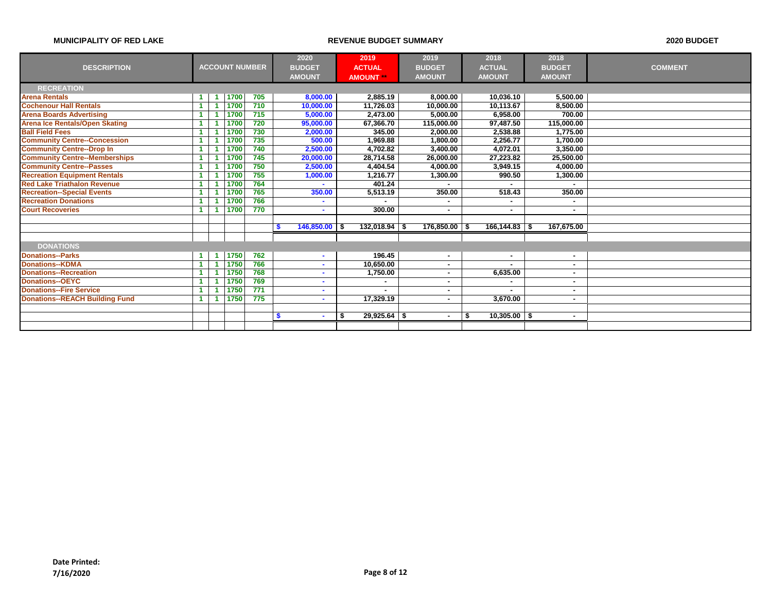|                                       |                      |      |                       |   | 2020            | 2019                 | 2019          |                  |     | 2018              | 2018          |                |
|---------------------------------------|----------------------|------|-----------------------|---|-----------------|----------------------|---------------|------------------|-----|-------------------|---------------|----------------|
| <b>DESCRIPTION</b>                    |                      |      | <b>ACCOUNT NUMBER</b> |   | <b>BUDGET</b>   | <b>ACTUAL</b>        | <b>BUDGET</b> |                  |     | <b>ACTUAL</b>     | <b>BUDGET</b> | <b>COMMENT</b> |
|                                       |                      |      |                       |   | <b>AMOUNT</b>   | <b>AMOUNT</b>        | <b>AMOUNT</b> |                  |     | <b>AMOUNT</b>     | <b>AMOUNT</b> |                |
| <b>RECREATION</b>                     |                      |      |                       |   |                 |                      |               |                  |     |                   |               |                |
| <b>Arena Rentals</b>                  | 1                    | 1700 | 705                   |   | 8,000.00        | 2,885.19             |               | 8,000.00         |     | 10,036.10         | 5,500.00      |                |
| <b>Cochenour Hall Rentals</b>         | $\mathbf{1}$         | 1700 | 710                   |   | 10,000.00       | 11,726.03            |               | 10,000.00        |     | 10,113.67         | 8.500.00      |                |
| <b>Arena Boards Advertising</b>       |                      | 1700 | 715                   |   | 5,000.00        | 2,473.00             |               | 5,000.00         |     | 6,958.00          | 700.00        |                |
| <b>Arena Ice Rentals/Open Skating</b> |                      | 1700 | 720                   |   | 95,000.00       | 67,366.70            |               | 115,000.00       |     | 97.487.50         | 115,000.00    |                |
| <b>Ball Field Fees</b>                | $\blacktriangleleft$ | 1700 | 730                   |   | 2,000.00        | 345.00               |               | 2,000.00         |     | 2.538.88          | 1.775.00      |                |
| <b>Community Centre--Concession</b>   |                      | 1700 | 735                   |   | 500.00          | 1,969.88             |               | 1,800.00         |     | 2,256.77          | 1,700.00      |                |
| <b>Community Centre--Drop In</b>      |                      | 1700 | 740                   |   | 2,500.00        | 4,702.82             |               | 3,400.00         |     | 4,072.01          | 3,350.00      |                |
| <b>Community Centre--Memberships</b>  | $\blacktriangleleft$ | 1700 | 745                   |   | 20,000.00       | 28,714.58            |               | 26,000.00        |     | 27,223.82         | 25,500.00     |                |
| <b>Community Centre--Passes</b>       |                      | 1700 | 750                   |   | 2,500.00        | 4,404.54             |               | 4,000.00         |     | 3,949.15          | 4,000.00      |                |
| <b>Recreation Equipment Rentals</b>   |                      | 1700 | 755                   |   | 1,000.00        | 1,216.77             |               | 1,300.00         |     | 990.50            | 1,300.00      |                |
| <b>Red Lake Triathalon Revenue</b>    | $\blacktriangleleft$ | 1700 | 764                   |   | ٠               | 401.24               |               |                  |     |                   |               |                |
| <b>Recreation--Special Events</b>     |                      | 1700 | 765                   |   | 350.00          | 5,513.19             |               | 350.00           |     | 518.43            | 350.00        |                |
| <b>Recreation Donations</b>           |                      | 1700 | 766                   |   | ۰               |                      |               |                  |     | $\blacksquare$    | н.            |                |
| <b>Court Recoveries</b>               | 1                    | 1700 | 770                   |   | ٠               | 300.00               |               |                  |     | $\blacksquare$    |               |                |
|                                       |                      |      |                       |   |                 |                      |               |                  |     |                   |               |                |
|                                       |                      |      |                       | S | $146,850.00$ \$ | $132,018.94$ \$      |               | $176,850.00$ \\$ |     | $166, 144.83$ \\$ | 167,675.00    |                |
|                                       |                      |      |                       |   |                 |                      |               |                  |     |                   |               |                |
| <b>DONATIONS</b>                      |                      |      |                       |   |                 |                      |               |                  |     |                   |               |                |
| <b>Donations--Parks</b>               | 1                    | 1750 | 762                   |   | ۰               | 196.45               |               |                  |     | ٠                 |               |                |
| <b>Donations--KDMA</b>                |                      | 1750 | 766                   |   | ٠               | 10,650.00            |               | ٠.               |     |                   | ۰.            |                |
| <b>Donations--Recreation</b>          |                      | 1750 | 768                   |   | ۰               | 1,750.00             |               | ٠                |     | 6,635.00          | ۰.            |                |
| <b>Donations--OEYC</b>                |                      | 1750 | 769                   |   | ۰               |                      |               |                  |     |                   |               |                |
| <b>Donations--Fire Service</b>        | $\blacktriangleleft$ | 1750 | 771                   |   | ۰               |                      |               |                  |     | ۰                 |               |                |
| <b>Donations--REACH Building Fund</b> | 1                    | 1750 | 775                   |   | ۰.              | 17,329.19            |               | ٠.               |     | 3,670.00          | н.            |                |
|                                       |                      |      |                       |   |                 |                      |               |                  |     |                   |               |                |
|                                       |                      |      |                       | S | ۰               | \$<br>$29,925.64$ \$ |               |                  | - 5 | $10,305.00$ \$    | <b>м</b>      |                |
|                                       |                      |      |                       |   |                 |                      |               |                  |     |                   |               |                |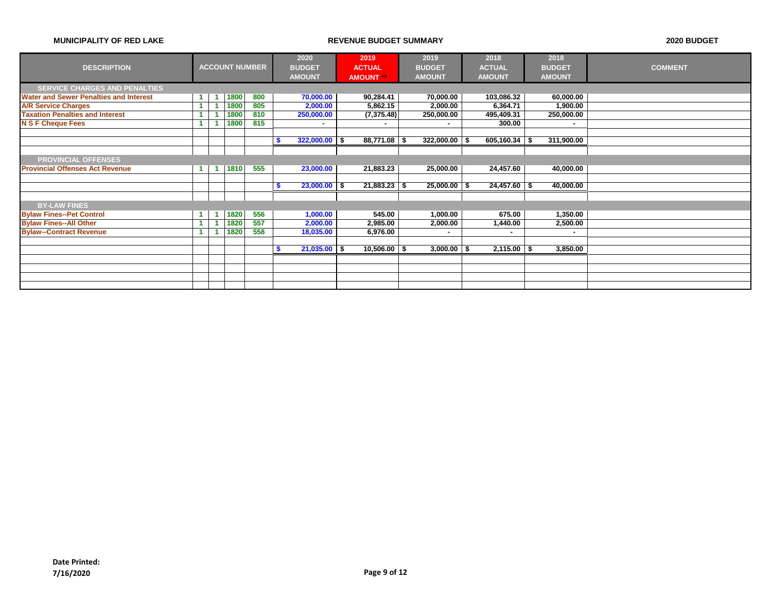|                                               |                      |                      |      |                       |   | 2020            | 2019             | 2019             | 2018            | 2018          |           |                |
|-----------------------------------------------|----------------------|----------------------|------|-----------------------|---|-----------------|------------------|------------------|-----------------|---------------|-----------|----------------|
| <b>DESCRIPTION</b>                            |                      |                      |      | <b>ACCOUNT NUMBER</b> |   | <b>BUDGET</b>   | <b>ACTUAL</b>    | <b>BUDGET</b>    | <b>ACTUAL</b>   | <b>BUDGET</b> |           | <b>COMMENT</b> |
|                                               |                      |                      |      |                       |   | <b>AMOUNT</b>   | <b>AMOUNT</b> ** | <b>AMOUNT</b>    | <b>AMOUNT</b>   | <b>AMOUNT</b> |           |                |
| <b>SERVICE CHARGES AND PENALTIES</b>          |                      |                      |      |                       |   |                 |                  |                  |                 |               |           |                |
| <b>Water and Sewer Penalties and Interest</b> | $\blacktriangleleft$ | и                    | 1800 | 800                   |   | 70,000.00       | 90,284.41        | 70,000.00        | 103,086.32      |               | 60,000.00 |                |
| <b>A/R Service Charges</b>                    | $\blacktriangleleft$ |                      | 1800 | 805                   |   | 2,000.00        | 5,862.15         | 2,000.00         | 6,364.71        |               | 1,900.00  |                |
| <b>Taxation Penalties and Interest</b>        |                      |                      | 1800 | 810                   |   | 250,000.00      | (7, 375.48)      | 250,000.00       | 495,409.31      | 250,000.00    |           |                |
| <b>N S F Cheque Fees</b>                      |                      |                      | 1800 | 815                   |   | ۰               |                  |                  | 300.00          |               | ٠         |                |
|                                               |                      |                      |      |                       |   |                 |                  |                  |                 |               |           |                |
|                                               |                      |                      |      |                       |   | $322,000.00$ \$ | $88,771.08$ \$   | $322,000.00$ \$  | $605,160.34$ \$ | 311,900.00    |           |                |
|                                               |                      |                      |      |                       |   |                 |                  |                  |                 |               |           |                |
| <b>PROVINCIAL OFFENSES</b>                    |                      |                      |      |                       |   |                 |                  |                  |                 |               |           |                |
| <b>Provincial Offenses Act Revenue</b>        | $\blacktriangleleft$ | $\blacktriangleleft$ | 1810 | 555                   |   | 23,000.00       | 21,883.23        | 25,000.00        | 24,457.60       |               | 40,000.00 |                |
|                                               |                      |                      |      |                       |   |                 |                  |                  |                 |               |           |                |
|                                               |                      |                      |      |                       | S | $23,000.00$ \$  | $21,883.23$ \$   | $25,000.00$ \ \$ | $24,457.60$ \$  |               | 40,000.00 |                |
|                                               |                      |                      |      |                       |   |                 |                  |                  |                 |               |           |                |
| <b>BY-LAW FINES</b>                           |                      |                      |      |                       |   |                 |                  |                  |                 |               |           |                |
| <b>Bylaw Fines--Pet Control</b>               | $\blacktriangleleft$ | -1                   | 1820 | 556                   |   | 1,000.00        | 545.00           | 1,000.00         | 675.00          |               | 1,350.00  |                |
| <b>Bylaw Fines--All Other</b>                 | $\blacktriangleleft$ |                      | 1820 | 557                   |   | 2,000.00        | 2,985.00         | 2,000.00         | 1,440.00        |               | 2,500.00  |                |
| <b>Bylaw--Contract Revenue</b>                | $\blacktriangleleft$ |                      | 1820 | 558                   |   | 18,035.00       | 6,976.00         |                  | ۰               |               |           |                |
|                                               |                      |                      |      |                       |   |                 |                  |                  |                 |               |           |                |
|                                               |                      |                      |      |                       |   | $21,035.00$ \$  | $10,506.00$ \ \$ | 3,000.00         | $2,115.00$ \$   |               | 3,850.00  |                |
|                                               |                      |                      |      |                       |   |                 |                  |                  |                 |               |           |                |
|                                               |                      |                      |      |                       |   |                 |                  |                  |                 |               |           |                |
|                                               |                      |                      |      |                       |   |                 |                  |                  |                 |               |           |                |
|                                               |                      |                      |      |                       |   |                 |                  |                  |                 |               |           |                |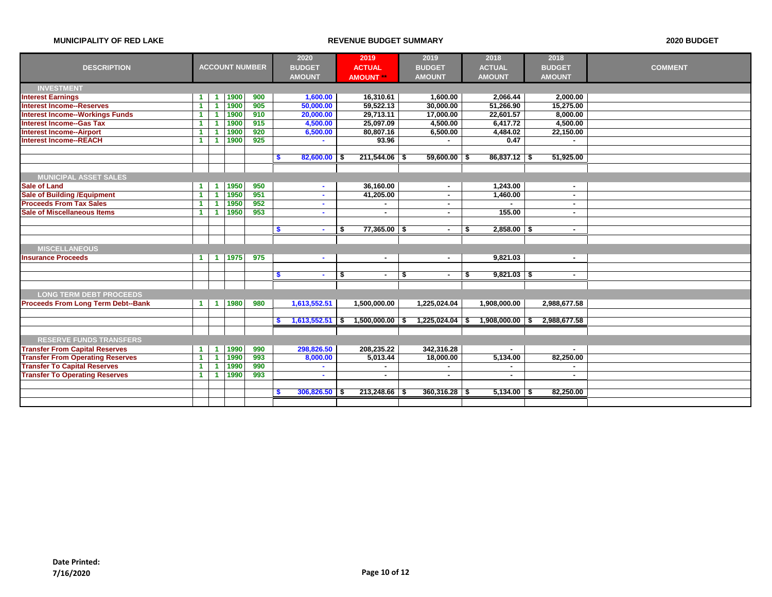|                                           |                      |                      |                       | 2020 | 2019                            | 2019                 | 2018                 | 2018                  |               |                |
|-------------------------------------------|----------------------|----------------------|-----------------------|------|---------------------------------|----------------------|----------------------|-----------------------|---------------|----------------|
| <b>DESCRIPTION</b>                        |                      |                      | <b>ACCOUNT NUMBER</b> |      | <b>BUDGET</b>                   | <b>ACTUAL</b>        | <b>BUDGET</b>        | <b>ACTUAL</b>         | <b>BUDGET</b> | <b>COMMENT</b> |
|                                           |                      |                      |                       |      | <b>AMOUNT</b>                   | <b>AMOUNT</b>        | <b>AMOUNT</b>        | <b>AMOUNT</b>         | <b>AMOUNT</b> |                |
| <b>INVESTMENT</b>                         |                      |                      |                       |      |                                 |                      |                      |                       |               |                |
| <b>Interest Earnings</b>                  | $\blacktriangleleft$ | -1                   | 1900                  | 900  | 1,600.00                        | 16,310.61            | 1,600.00             | 2,066.44              | 2,000.00      |                |
| <b>Interest Income--Reserves</b>          | -1                   | 1                    | 1900                  | 905  | 50,000.00                       | 59,522.13            | 30,000.00            | 51,266.90             | 15,275.00     |                |
| <b>Interest Income--Workings Funds</b>    | $\blacktriangleleft$ | 1                    | 1900                  | 910  | 20,000.00                       | 29,713.11            | 17,000.00            | 22,601.57             | 8,000.00      |                |
| <b>Interest Income--Gas Tax</b>           | $\blacktriangleleft$ | -1                   | 1900                  | 915  | 4,500.00                        | 25,097.09            | 4,500.00             | 6,417.72              | 4,500.00      |                |
| <b>Interest Income--Airport</b>           |                      |                      | 1900                  | 920  | 6,500.00                        | 80,807.16            | 6,500.00             | 4,484.02              | 22,150.00     |                |
| <b>Interest Income--REACH</b>             | 1                    | -1                   | 1900                  | 925  | ÷.                              | 93.96                |                      | 0.47                  |               |                |
|                                           |                      |                      |                       |      |                                 |                      |                      |                       |               |                |
|                                           |                      |                      |                       |      | $82,600.00$ \$<br>$\sqrt[6]{3}$ | $211,544.06$ \$      | $59,600.00$ \$       | $86,837.12$ \$        | 51,925.00     |                |
|                                           |                      |                      |                       |      |                                 |                      |                      |                       |               |                |
| <b>MUNICIPAL ASSET SALES</b>              |                      |                      |                       |      |                                 |                      |                      |                       |               |                |
| <b>Sale of Land</b>                       | $\blacktriangleleft$ | -1                   | 1950                  | 950  | $\sim$                          | 36,160.00            | $\blacksquare$       | 1,243.00              | $\sim$        |                |
| <b>Sale of Building /Equipment</b>        | $\blacktriangleleft$ | 1                    | 1950                  | 951  | $\sim$                          | 41,205.00            | ٠                    | 1,460.00              | $\sim$        |                |
| <b>Proceeds From Tax Sales</b>            | $\blacktriangleleft$ | 4                    | 1950                  | 952  | ٠                               | $\sim$               | ۰                    |                       | $\sim$        |                |
| <b>Sale of Miscellaneous Items</b>        | $\blacktriangleleft$ | -1                   | 1950                  | 953  | $\mathbf{r}$                    | ٠                    |                      | 155.00                | $\sim$        |                |
|                                           |                      |                      |                       |      |                                 |                      |                      |                       |               |                |
|                                           |                      |                      |                       |      | -\$                             | \$<br>$77,365.00$ \$ |                      | $2,858.00$ \$<br>-\$  | ٠             |                |
|                                           |                      |                      |                       |      |                                 |                      |                      |                       |               |                |
| <b>MISCELLANEOUS</b>                      |                      |                      |                       |      |                                 |                      |                      |                       |               |                |
| <b>Insurance Proceeds</b>                 | $\blacktriangleleft$ | $\blacktriangleleft$ | 1975                  | 975  | $\sim$                          | $\sim$               | $\sim$               | 9.821.03              | $\sim$        |                |
|                                           |                      |                      |                       |      |                                 |                      |                      |                       |               |                |
|                                           |                      |                      |                       |      | -\$<br>$\sim$                   | \$<br>$\sim$         | \$<br>$\blacksquare$ | $9,821.03$ \$<br>- \$ | $\sim$        |                |
|                                           |                      |                      |                       |      |                                 |                      |                      |                       |               |                |
| <b>LONG TERM DEBT PROCEEDS</b>            |                      |                      |                       |      |                                 |                      |                      |                       |               |                |
| <b>Proceeds From Long Term Debt--Bank</b> | $\blacktriangleleft$ | $\blacktriangleleft$ | 1980                  | 980  | 1,613,552.51                    | 1,500,000.00         | 1,225,024.04         | 1,908,000.00          | 2,988,677.58  |                |
|                                           |                      |                      |                       |      |                                 |                      |                      |                       |               |                |
|                                           |                      |                      |                       |      | $1,613,552.51$ \$<br>S          | $1,500,000.00$ \ \$  | $1,225,024.04$ \ \$  | $1,908,000.00$ \$     | 2,988,677.58  |                |
|                                           |                      |                      |                       |      |                                 |                      |                      |                       |               |                |
| <b>RESERVE FUNDS TRANSFERS</b>            |                      |                      |                       |      |                                 |                      |                      |                       |               |                |
| <b>Transfer From Capital Reserves</b>     | -1                   | $\blacktriangleleft$ | 1990                  | 990  | 298,826.50                      | 208,235.22           | 342,316.28           |                       |               |                |
| <b>Transfer From Operating Reserves</b>   | -1.                  | $\blacktriangleleft$ | 1990                  | 993  | 8,000.00                        | 5,013.44             | 18,000.00            | 5,134.00              | 82,250.00     |                |
| <b>Transfer To Capital Reserves</b>       | $\blacktriangleleft$ | -1                   | 1990                  | 990  | ÷.                              | $\sim$               |                      | $\blacksquare$        | $\sim$        |                |
| <b>Transfer To Operating Reserves</b>     | $\blacktriangleleft$ | -1                   | 1990                  | 993  | $\sim$                          | $\sim$               | ۰                    | $\blacksquare$        | $\sim$        |                |
|                                           |                      |                      |                       |      |                                 |                      |                      |                       |               |                |
|                                           |                      |                      |                       |      | $306,826.50$ \$<br><b>S</b>     | 213,248.66           | $360,316.28$ \$<br>S | 5,134.00              | 82,250.00     |                |
|                                           |                      |                      |                       |      |                                 |                      |                      |                       |               |                |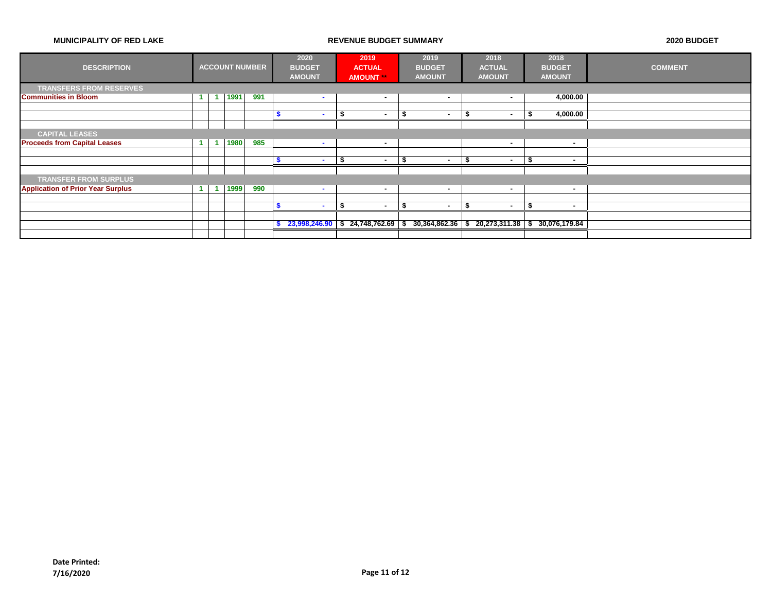| <b>DESCRIPTION</b>                       |  |      | <b>ACCOUNT NUMBER</b> | 2020<br><b>BUDGET</b><br><b>AMOUNT</b> |     | 2019<br><b>ACTUAL</b><br><b>AMOUNT</b> | 2019<br><b>BUDGET</b><br><b>AMOUNT</b> |      | 2018<br><b>ACTUAL</b><br><b>AMOUNT</b>            |      | 2018<br><b>BUDGET</b><br><b>AMOUNT</b> | <b>COMMENT</b> |
|------------------------------------------|--|------|-----------------------|----------------------------------------|-----|----------------------------------------|----------------------------------------|------|---------------------------------------------------|------|----------------------------------------|----------------|
| <b>TRANSFERS FROM RESERVES</b>           |  |      |                       |                                        |     |                                        |                                        |      |                                                   |      |                                        |                |
| <b>Communities in Bloom</b>              |  | 1991 | 991                   | <b>м.</b>                              |     | ٠                                      | н.                                     |      | $\sim$                                            |      | 4,000.00                               |                |
|                                          |  |      |                       |                                        |     |                                        |                                        |      |                                                   |      |                                        |                |
|                                          |  |      |                       | <b>м.</b>                              | - 7 | $\overline{\phantom{a}}$               | -5                                     | J.   | $\sim$                                            | - 11 | 4,000.00                               |                |
|                                          |  |      |                       |                                        |     |                                        |                                        |      |                                                   |      |                                        |                |
| <b>CAPITAL LEASES</b>                    |  |      |                       |                                        |     |                                        |                                        |      |                                                   |      |                                        |                |
| <b>Proceeds from Capital Leases</b>      |  | 1980 | 985                   | $\sim$                                 |     | ٠                                      |                                        |      |                                                   |      | ۰                                      |                |
|                                          |  |      |                       |                                        |     |                                        |                                        |      |                                                   |      |                                        |                |
|                                          |  |      |                       |                                        |     | ۰                                      |                                        |      | $\overline{\phantom{a}}$                          |      |                                        |                |
|                                          |  |      |                       |                                        |     |                                        |                                        |      |                                                   |      |                                        |                |
| <b>TRANSFER FROM SURPLUS</b>             |  |      |                       |                                        |     |                                        |                                        |      |                                                   |      |                                        |                |
| <b>Application of Prior Year Surplus</b> |  | 1999 | 990                   | $\sim$                                 |     | $\overline{\phantom{a}}$               | н.                                     |      | $\sim$                                            |      |                                        |                |
|                                          |  |      |                       |                                        |     |                                        |                                        |      |                                                   |      |                                        |                |
|                                          |  |      |                       | <b>м.</b>                              | \$  | $\sim$                                 | - \$<br>$\sim$                         | - \$ | $\sim$                                            | -5   |                                        |                |
|                                          |  |      |                       |                                        |     |                                        |                                        |      |                                                   |      |                                        |                |
|                                          |  |      |                       |                                        |     | $23,998,246.90$ \$ 24,748,762.69 \$    |                                        |      | $30,364,862.36$ \$ 20,273,311.38 \$ 30,076,179.84 |      |                                        |                |
|                                          |  |      |                       |                                        |     |                                        |                                        |      |                                                   |      |                                        |                |